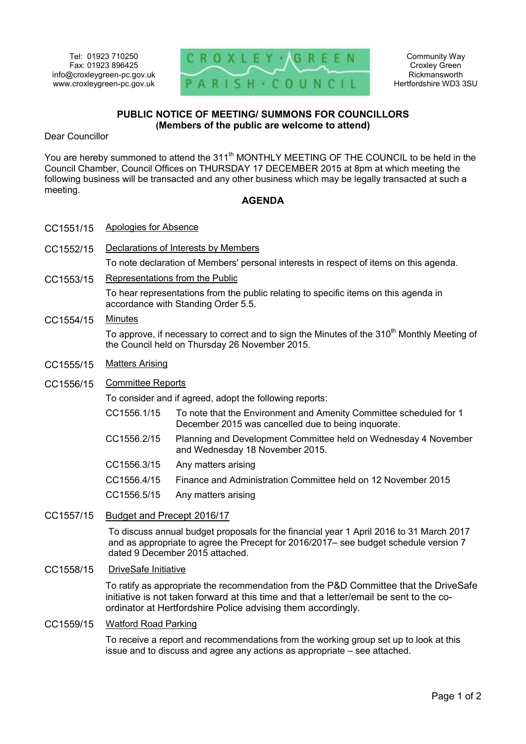

Community Way Croxley Green Rickmansworth Hertfordshire WD3 3SU

# **PUBLIC NOTICE OF MEETING/ SUMMONS FOR COUNCILLORS (Members of the public are welcome to attend)**

Dear Councillor

You are hereby summoned to attend the 311<sup>th</sup> MONTHLY MEETING OF THE COUNCIL to be held in the Council Chamber, Council Offices on THURSDAY 17 DECEMBER 2015 at 8pm at which meeting the following business will be transacted and any other business which may be legally transacted at such a meeting.

## **AGENDA**

- CC1551/15 Apologies for Absence
- CC1552/15 Declarations of Interests by Members

To note declaration of Members' personal interests in respect of items on this agenda.

CC1553/15 Representations from the Public

To hear representations from the public relating to specific items on this agenda in accordance with Standing Order 5.5.

### CC1554/15 Minutes

To approve, if necessary to correct and to sign the Minutes of the 310<sup>th</sup> Monthly Meeting of the Council held on Thursday 26 November 2015.

- CC1555/15 Matters Arising
- CC1556/15 Committee Reports

To consider and if agreed, adopt the following reports:

- CC1556.1/15 To note that the Environment and Amenity Committee scheduled for 1 December 2015 was cancelled due to being inquorate.
- CC1556.2/15 Planning and Development Committee held on Wednesday 4 November and Wednesday 18 November 2015.
- CC1556.3/15 Any matters arising
- CC1556.4/15 Finance and Administration Committee held on 12 November 2015
- CC1556.5/15 Any matters arising
- CC1557/15 Budget and Precept 2016/17

To discuss annual budget proposals for the financial year 1 April 2016 to 31 March 2017 and as appropriate to agree the Precept for 2016/2017– see budget schedule version 7 dated 9 December 2015 attached.

CC1558/15 DriveSafe Initiative

To ratify as appropriate the recommendation from the P&D Committee that the DriveSafe initiative is not taken forward at this time and that a letter/email be sent to the coordinator at Hertfordshire Police advising them accordingly.

#### CC1559/15 Watford Road Parking

To receive a report and recommendations from the working group set up to look at this issue and to discuss and agree any actions as appropriate – see attached.